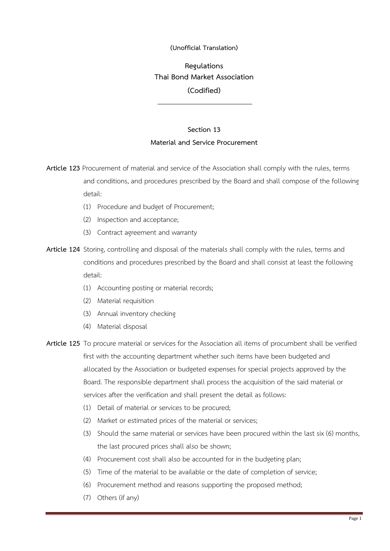## **(Unofficial Translation)**

## **Regulations Thai Bond Market Association (Codified)**

## **Section 13 Material and Service Procurement**

- **Article 123** Procurement of material and service of the Association shall comply with the rules, terms and conditions, and procedures prescribed by the Board and shall compose of the following detail:
	- (1) Procedure and budget of Procurement;
	- (2) Inspection and acceptance;
	- (3) Contract agreement and warranty
- **Article 124** Storing, controlling and disposal of the materials shall comply with the rules, terms and conditions and procedures prescribed by the Board and shall consist at least the following detail:
	- (1) Accounting posting or material records;
	- (2) Material requisition
	- (3) Annual inventory checking
	- (4) Material disposal
- **Article 125** To procure material or services for the Association all items of procumbent shall be verified first with the accounting department whether such items have been budgeted and allocated by the Association or budgeted expenses for special projects approved by the Board. The responsible department shall process the acquisition of the said material or services after the verification and shall present the detail as follows:
	- (1) Detail of material or services to be procured;
	- (2) Market or estimated prices of the material or services;
	- (3) Should the same material or services have been procured within the last six (6) months, the last procured prices shall also be shown;
	- (4) Procurement cost shall also be accounted for in the budgeting plan;
	- (5) Time of the material to be available or the date of completion of service;
	- (6) Procurement method and reasons supporting the proposed method;
	- (7) Others (if any)